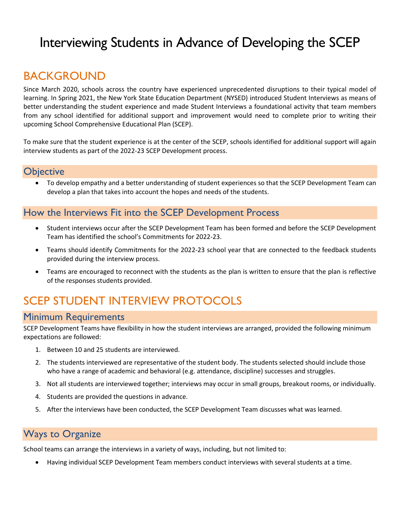# Interviewing Students in Advance of Developing the SCEP

# **BACKGROUND**

Since March 2020, schools across the country have experienced unprecedented disruptions to their typical model of learning. In Spring 2021, the New York State Education Department (NYSED) introduced Student Interviews as means of better understanding the student experience and made Student Interviews a foundational activity that team members from any school identified for additional support and improvement would need to complete prior to writing their upcoming School Comprehensive Educational Plan (SCEP).

To make sure that the student experience is at the center of the SCEP, schools identified for additional support will again interview students as part of the 2022-23 SCEP Development process.

### **Objective**

• To develop empathy and a better understanding of student experiences so that the SCEP Development Team can develop a plan that takes into account the hopes and needs of the students.

## How the Interviews Fit into the SCEP Development Process

- Student interviews occur after the SCEP Development Team has been formed and before the SCEP Development Team has identified the school's Commitments for 2022-23.
- Teams should identify Commitments for the 2022-23 school year that are connected to the feedback students provided during the interview process.
- Teams are encouraged to reconnect with the students as the plan is written to ensure that the plan is reflective of the responses students provided.

# SCEP STUDENT INTERVIEW PROTOCOLS

### Minimum Requirements

SCEP Development Teams have flexibility in how the student interviews are arranged, provided the following minimum expectations are followed:

- 1. Between 10 and 25 students are interviewed.
- 2. The students interviewed are representative of the student body. The students selected should include those who have a range of academic and behavioral (e.g. attendance, discipline) successes and struggles.
- 3. Not all students are interviewed together; interviews may occur in small groups, breakout rooms, or individually.
- 4. Students are provided the questions in advance.
- 5. After the interviews have been conducted, the SCEP Development Team discusses what was learned.

# Ways to Organize

School teams can arrange the interviews in a variety of ways, including, but not limited to:

• Having individual SCEP Development Team members conduct interviews with several students at a time.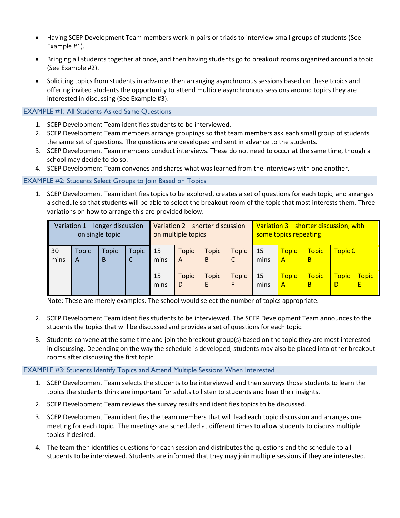- Having SCEP Development Team members work in pairs or triads to interview small groups of students (See Example #1).
- Bringing all students together at once, and then having students go to breakout rooms organized around a topic (See Example #2).
- Soliciting topics from students in advance, then arranging asynchronous sessions based on these topics and offering invited students the opportunity to attend multiple asynchronous sessions around topics they are interested in discussing (See Example #3).

#### EXAMPLE #1: All Students Asked Same Questions

- 1. SCEP Development Team identifies students to be interviewed.
- 2. SCEP Development Team members arrange groupings so that team members ask each small group of students the same set of questions. The questions are developed and sent in advance to the students.
- 3. SCEP Development Team members conduct interviews. These do not need to occur at the same time, though a school may decide to do so.
- 4. SCEP Development Team convenes and shares what was learned from the interviews with one another.

#### <span id="page-1-0"></span>EXAMPLE #2: Students Select Groups to Join Based on Topics

1. SCEP Development Team identifies topics to be explored, creates a set of questions for each topic, and arranges a schedule so that students will be able to select the breakout room of the topic that most interests them. Three variations on how to arrange this are provided below.

| Variation 1 - longer discussion<br>on single topic |                   |                   |                   | Variation 2 – shorter discussion<br>on multiple topics |                   |                   |                   | Variation 3 – shorter discussion, with<br>some topics repeating |                    |                   |                   |                   |
|----------------------------------------------------|-------------------|-------------------|-------------------|--------------------------------------------------------|-------------------|-------------------|-------------------|-----------------------------------------------------------------|--------------------|-------------------|-------------------|-------------------|
| 30<br>mins                                         | <b>Topic</b><br>A | <b>Topic</b><br>B | <b>Topic</b><br>J | 15<br>mins                                             | <b>Topic</b><br>A | <b>Topic</b><br>B | Topic<br>C        | 15<br>mins                                                      | <b>Topic</b><br>A  | <b>Topic</b><br>В | <b>Topic C</b>    |                   |
|                                                    |                   |                   |                   | 15<br>mins                                             | <b>Topic</b><br>D | <b>Topic</b><br>E | <b>Topic</b><br>F | 15<br>mins                                                      | Topic<br>$\Lambda$ | <b>Topic</b><br>В | <b>Topic</b><br>D | <b>Topic</b><br>Ε |

Note: These are merely examples. The school would select the number of topics appropriate.

- 2. SCEP Development Team identifies students to be interviewed. The SCEP Development Team announces to the students the topics that will be discussed and provides a set of questions for each topic.
- 3. Students convene at the same time and join the breakout group(s) based on the topic they are most interested in discussing. Depending on the way the schedule is developed, students may also be placed into other breakout rooms after discussing the first topic.

#### <span id="page-1-1"></span>EXAMPLE #3: Students Identify Topics and Attend Multiple Sessions When Interested

- 1. SCEP Development Team selects the students to be interviewed and then surveys those students to learn the topics the students think are important for adults to listen to students and hear their insights.
- 2. SCEP Development Team reviews the survey results and identifies topics to be discussed.
- 3. SCEP Development Team identifies the team members that will lead each topic discussion and arranges one meeting for each topic. The meetings are scheduled at different times to allow students to discuss multiple topics if desired.
- 4. The team then identifies questions for each session and distributes the questions and the schedule to all students to be interviewed. Students are informed that they may join multiple sessions if they are interested.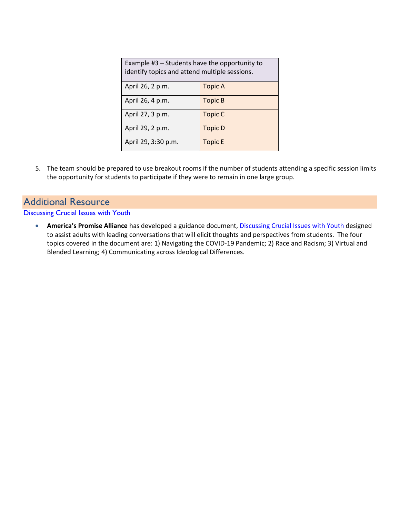| Example $#3$ – Students have the opportunity to<br>identify topics and attend multiple sessions. |                |  |  |  |  |  |
|--------------------------------------------------------------------------------------------------|----------------|--|--|--|--|--|
| April 26, 2 p.m.                                                                                 | <b>Topic A</b> |  |  |  |  |  |
| April 26, 4 p.m.                                                                                 | Topic B        |  |  |  |  |  |
| April 27, 3 p.m.                                                                                 | <b>Topic C</b> |  |  |  |  |  |
| April 29, 2 p.m.                                                                                 | <b>Topic D</b> |  |  |  |  |  |
| April 29, 3:30 p.m.                                                                              | <b>Topic E</b> |  |  |  |  |  |

5. The team should be prepared to use breakout rooms if the number of students attending a specific session limits the opportunity for students to participate if they were to remain in one large group.

### Additional Resource

**[Discussing Crucial Issues with Youth](https://www.americaspromise.org/sites/default/files/d8/HLH_EngagingYoungPeople_v5.pdf)** 

• **America's Promise Alliance** has developed a guidance document, [Discussing Crucial Issues with Youth](https://www.americaspromise.org/sites/default/files/d8/HLH_EngagingYoungPeople_v5.pdf) designed to assist adults with leading conversations that will elicit thoughts and perspectives from students. The four topics covered in the document are: 1) Navigating the COVID-19 Pandemic; 2) Race and Racism; 3) Virtual and Blended Learning; 4) Communicating across Ideological Differences.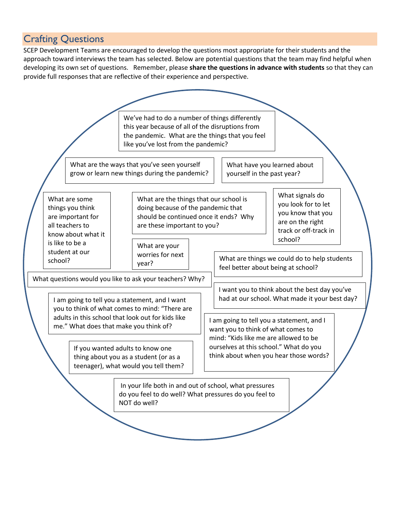## Crafting Questions

SCEP Development Teams are encouraged to develop the questions most appropriate for their students and the approach toward interviews the team has selected. Below are potential questions that the team may find helpful when developing its own set of questions. Remember, please **share the questions in advance with students** so that they can provide full responses that are reflective of their experience and perspective.

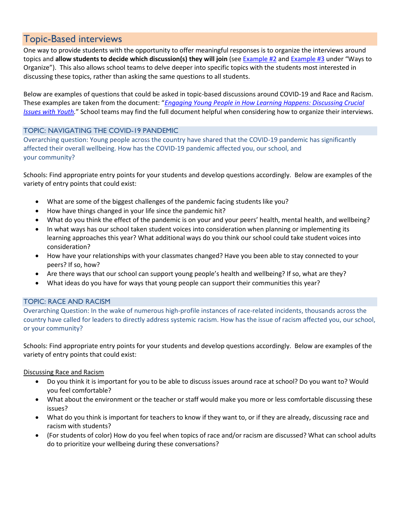## Topic-Based interviews

One way to provide students with the opportunity to offer meaningful responses is to organize the interviews around topics and **allow students to decide which discussion(s) they will join** (see [Example #2](#page-1-0) and [Example #3](#page-1-1) under "Ways to Organize"). This also allows school teams to delve deeper into specific topics with the students most interested in discussing these topics, rather than asking the same questions to all students.

Below are examples of questions that could be asked in topic-based discussions around COVID-19 and Race and Racism. These examples are taken from the document: "*[Engaging Young People in How Learning Happens: Discussing Crucial](https://www.americaspromise.org/sites/default/files/d8/HLH_EngagingYoungPeople_v5.pdf)  [Issues with Youth.](https://www.americaspromise.org/sites/default/files/d8/HLH_EngagingYoungPeople_v5.pdf)*" School teams may find the full document helpful when considering how to organize their interviews.

### TOPIC: NAVIGATING THE COVID-19 PANDEMIC

Overarching question: Young people across the country have shared that the COVID-19 pandemic has significantly affected their overall wellbeing. How has the COVID-19 pandemic affected you, our school, and your community?

Schools: Find appropriate entry points for your students and develop questions accordingly. Below are examples of the variety of entry points that could exist:

- What are some of the biggest challenges of the pandemic facing students like you?
- How have things changed in your life since the pandemic hit?
- What do you think the effect of the pandemic is on your and your peers' health, mental health, and wellbeing?
- In what ways has our school taken student voices into consideration when planning or implementing its learning approaches this year? What additional ways do you think our school could take student voices into consideration?
- How have your relationships with your classmates changed? Have you been able to stay connected to your peers? If so, how?
- Are there ways that our school can support young people's health and wellbeing? If so, what are they?
- What ideas do you have for ways that young people can support their communities this year?

### TOPIC: RACE AND RACISM

Overarching Question: In the wake of numerous high-profile instances of race-related incidents, thousands across the country have called for leaders to directly address systemic racism. How has the issue of racism affected you, our school, or your community?

Schools: Find appropriate entry points for your students and develop questions accordingly. Below are examples of the variety of entry points that could exist:

Discussing Race and Racism

- Do you think it is important for you to be able to discuss issues around race at school? Do you want to? Would you feel comfortable?
- What about the environment or the teacher or staff would make you more or less comfortable discussing these issues?
- What do you think is important for teachers to know if they want to, or if they are already, discussing race and racism with students?
- (For students of color) How do you feel when topics of race and/or racism are discussed? What can school adults do to prioritize your wellbeing during these conversations?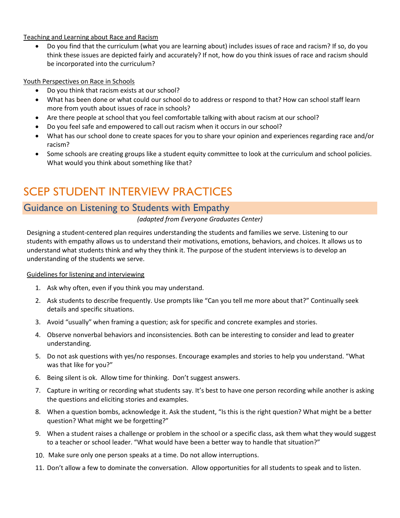Teaching and Learning about Race and Racism

• Do you find that the curriculum (what you are learning about) includes issues of race and racism? If so, do you think these issues are depicted fairly and accurately? If not, how do you think issues of race and racism should be incorporated into the curriculum?

### Youth Perspectives on Race in Schools

- Do you think that racism exists at our school?
- What has been done or what could our school do to address or respond to that? How can school staff learn more from youth about issues of race in schools?
- Are there people at school that you feel comfortable talking with about racism at our school?
- Do you feel safe and empowered to call out racism when it occurs in our school?
- What has our school done to create spaces for you to share your opinion and experiences regarding race and/or racism?
- Some schools are creating groups like a student equity committee to look at the curriculum and school policies. What would you think about something like that?

# <span id="page-5-0"></span>SCEP STUDENT INTERVIEW PRACTICES

### Guidance on Listening to Students with Empathy

*(adapted from Everyone Graduates Center)*

Designing a student-centered plan requires understanding the students and families we serve. Listening to our students with empathy allows us to understand their motivations, emotions, behaviors, and choices. It allows us to understand what students think and why they think it. The purpose of the student interviews is to develop an understanding of the students we serve.

#### Guidelines for listening and interviewing

- 1. Ask why often, even if you think you may understand.
- 2. Ask students to describe frequently. Use prompts like "Can you tell me more about that?" Continually seek details and specific situations.
- 3. Avoid "usually" when framing a question; ask for specific and concrete examples and stories.
- 4. Observe nonverbal behaviors and inconsistencies. Both can be interesting to consider and lead to greater understanding.
- 5. Do not ask questions with yes/no responses. Encourage examples and stories to help you understand. "What was that like for you?"
- 6. Being silent is ok. Allow time for thinking. Don't suggest answers.
- 7. Capture in writing or recording what students say. It's best to have one person recording while another is asking the questions and eliciting stories and examples.
- 8. When a question bombs, acknowledge it. Ask the student, "Is this is the right question? What might be a better question? What might we be forgetting?"
- 9. When a student raises a challenge or problem in the school or a specific class, ask them what they would suggest to a teacher or school leader. "What would have been a better way to handle that situation?"
- 10. Make sure only one person speaks at a time. Do not allow interruptions.
- 11. Don't allow a few to dominate the conversation. Allow opportunities for all students to speak and to listen.